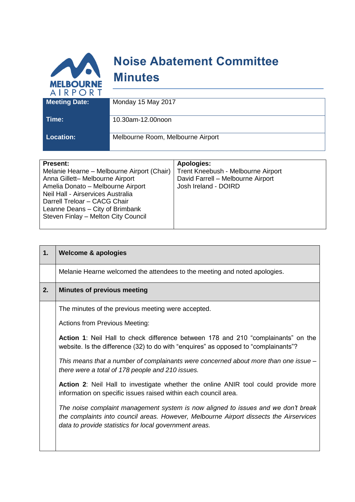

**Location:** Melbourne Room, Melbourne Airport

| <b>Present:</b>                            | Apologies:                         |
|--------------------------------------------|------------------------------------|
| Melanie Hearne – Melbourne Airport (Chair) | Trent Kneebush - Melbourne Airport |
| Anna Gillett- Melbourne Airport            | David Farrell - Melbourne Airport  |
| Amelia Donato - Melbourne Airport          | Josh Ireland - DOIRD               |
| Neil Hall - Airservices Australia          |                                    |
| Darrell Treloar - CACG Chair               |                                    |
| Leanne Deans - City of Brimbank            |                                    |
| Steven Finlay - Melton City Council        |                                    |
|                                            |                                    |

| 1. | <b>Welcome &amp; apologies</b>                                                                                                                                                                                                        |
|----|---------------------------------------------------------------------------------------------------------------------------------------------------------------------------------------------------------------------------------------|
|    | Melanie Hearne welcomed the attendees to the meeting and noted apologies.                                                                                                                                                             |
| 2. | <b>Minutes of previous meeting</b>                                                                                                                                                                                                    |
|    | The minutes of the previous meeting were accepted.                                                                                                                                                                                    |
|    | <b>Actions from Previous Meeting:</b>                                                                                                                                                                                                 |
|    | <b>Action 1:</b> Neil Hall to check difference between 178 and 210 "complainants" on the<br>website. Is the difference (32) to do with "enquires" as opposed to "complainants"?                                                       |
|    | This means that a number of complainants were concerned about more than one issue –<br>there were a total of 178 people and 210 issues.                                                                                               |
|    | <b>Action 2:</b> Neil Hall to investigate whether the online ANIR tool could provide more<br>information on specific issues raised within each council area.                                                                          |
|    | The noise complaint management system is now aligned to issues and we don't break<br>the complaints into council areas. However, Melbourne Airport dissects the Airservices<br>data to provide statistics for local government areas. |
|    |                                                                                                                                                                                                                                       |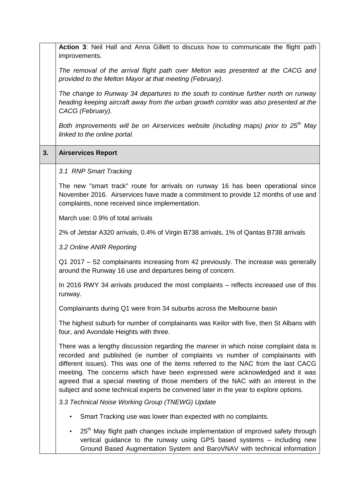|    | Action 3: Neil Hall and Anna Gillett to discuss how to communicate the flight path<br>improvements.                                                                                                                                                                                                                                                                                                                                                                                                                        |
|----|----------------------------------------------------------------------------------------------------------------------------------------------------------------------------------------------------------------------------------------------------------------------------------------------------------------------------------------------------------------------------------------------------------------------------------------------------------------------------------------------------------------------------|
|    | The removal of the arrival flight path over Melton was presented at the CACG and<br>provided to the Melton Mayor at that meeting (February).                                                                                                                                                                                                                                                                                                                                                                               |
|    | The change to Runway 34 departures to the south to continue further north on runway<br>heading keeping aircraft away from the urban growth corridor was also presented at the<br>CACG (February).                                                                                                                                                                                                                                                                                                                          |
|    | Both improvements will be on Airservices website (including maps) prior to 25 <sup>th</sup> May<br>linked to the online portal.                                                                                                                                                                                                                                                                                                                                                                                            |
| 3. | <b>Airservices Report</b>                                                                                                                                                                                                                                                                                                                                                                                                                                                                                                  |
|    | 3.1 RNP Smart Tracking                                                                                                                                                                                                                                                                                                                                                                                                                                                                                                     |
|    | The new "smart track" route for arrivals on runway 16 has been operational since<br>November 2016. Airservices have made a commitment to provide 12 months of use and<br>complaints, none received since implementation.                                                                                                                                                                                                                                                                                                   |
|    | March use: 0.9% of total arrivals                                                                                                                                                                                                                                                                                                                                                                                                                                                                                          |
|    | 2% of Jetstar A320 arrivals, 0.4% of Virgin B738 arrivals, 1% of Qantas B738 arrivals                                                                                                                                                                                                                                                                                                                                                                                                                                      |
|    | 3.2 Online ANIR Reporting                                                                                                                                                                                                                                                                                                                                                                                                                                                                                                  |
|    | Q1 2017 - 52 complainants increasing from 42 previously. The increase was generally<br>around the Runway 16 use and departures being of concern.                                                                                                                                                                                                                                                                                                                                                                           |
|    | In 2016 RWY 34 arrivals produced the most complaints – reflects increased use of this<br>runway.                                                                                                                                                                                                                                                                                                                                                                                                                           |
|    | Complainants during Q1 were from 34 suburbs across the Melbourne basin                                                                                                                                                                                                                                                                                                                                                                                                                                                     |
|    | The highest suburb for number of complainants was Keilor with five, then St Albans with<br>four, and Avondale Heights with three.                                                                                                                                                                                                                                                                                                                                                                                          |
|    | There was a lengthy discussion regarding the manner in which noise complaint data is<br>recorded and published (ie number of complaints vs number of complainants with<br>different issues). This was one of the items referred to the NAC from the last CACG<br>meeting. The concerns which have been expressed were acknowledged and it was<br>agreed that a special meeting of those members of the NAC with an interest in the<br>subject and some technical experts be convened later in the year to explore options. |
|    | 3.3 Technical Noise Working Group (TNEWG) Update                                                                                                                                                                                                                                                                                                                                                                                                                                                                           |
|    | Smart Tracking use was lower than expected with no complaints.<br>$\bullet$                                                                                                                                                                                                                                                                                                                                                                                                                                                |
|    | 25 <sup>th</sup> May flight path changes include implementation of improved safety through<br>$\bullet$<br>vertical guidance to the runway using GPS based systems - including new<br>Ground Based Augmentation System and BaroVNAV with technical information                                                                                                                                                                                                                                                             |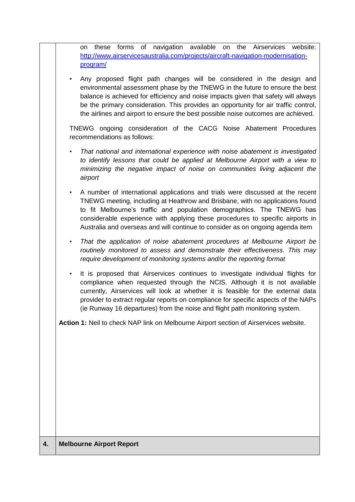|    | these forms of navigation available on<br>the Airservices website:<br>on<br>http://www.airservicesaustralia.com/projects/aircraft-navigation-modernisation-<br>program/                                                                                                                                                                                                                                                              |
|----|--------------------------------------------------------------------------------------------------------------------------------------------------------------------------------------------------------------------------------------------------------------------------------------------------------------------------------------------------------------------------------------------------------------------------------------|
|    | Any proposed flight path changes will be considered in the design and<br>$\bullet$<br>environmental assessment phase by the TNEWG in the future to ensure the best<br>balance is achieved for efficiency and noise impacts given that safety will always<br>be the primary consideration. This provides an opportunity for air traffic control,<br>the airlines and airport to ensure the best possible noise outcomes are achieved. |
|    | TNEWG ongoing consideration of the CACG Noise Abatement Procedures<br>recommendations as follows:                                                                                                                                                                                                                                                                                                                                    |
|    | That national and international experience with noise abatement is investigated<br>$\bullet$<br>to identify lessons that could be applied at Melbourne Airport with a view to<br>minimizing the negative impact of noise on communities living adjacent the<br>airport                                                                                                                                                               |
|    | A number of international applications and trials were discussed at the recent<br>$\bullet$<br>TNEWG meeting, including at Heathrow and Brisbane, with no applications found<br>to fit Melbourne's traffic and population demographics. The TNEWG has<br>considerable experience with applying these procedures to specific airports in<br>Australia and overseas and will continue to consider as on ongoing agenda item            |
|    | That the application of noise abatement procedures at Melbourne Airport be<br>$\bullet$<br>routinely monitored to assess and demonstrate their effectiveness. This may<br>require development of monitoring systems and/or the reporting format                                                                                                                                                                                      |
|    | It is proposed that Airservices continues to investigate individual flights for<br>$\bullet$<br>compliance when requested through the NCIS. Although it is not available<br>currently, Airservices will look at whether it is feasible for the external data<br>provider to extract regular reports on compliance for specific aspects of the NAPs<br>(ie Runway 16 departures) from the noise and flight path monitoring system.    |
|    | Action 1: Neil to check NAP link on Melbourne Airport section of Airservices website.                                                                                                                                                                                                                                                                                                                                                |
|    |                                                                                                                                                                                                                                                                                                                                                                                                                                      |
|    |                                                                                                                                                                                                                                                                                                                                                                                                                                      |
|    |                                                                                                                                                                                                                                                                                                                                                                                                                                      |
| 4. | <b>Melbourne Airport Report</b>                                                                                                                                                                                                                                                                                                                                                                                                      |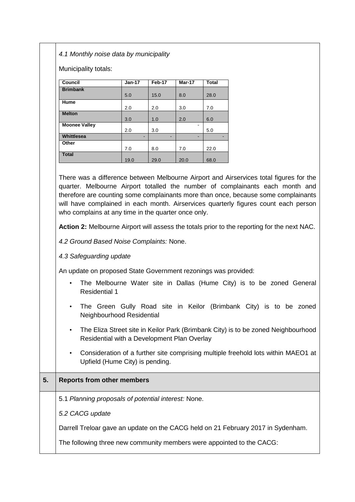*4.1 Monthly noise data by municipality*

Municipality totals:

| Council              | $Jan-17$ | Feb-17 | Mar-17 | <b>Total</b> |
|----------------------|----------|--------|--------|--------------|
| <b>Brimbank</b>      |          |        |        |              |
|                      | 5.0      | 15.0   | 8.0    | 28.0         |
| Hume                 |          |        |        |              |
|                      | 2.0      | 2.0    | 3.0    | 7.0          |
| <b>Melton</b>        |          |        |        |              |
|                      | 3.0      | 1.0    | 2.0    | 6.0          |
| <b>Moonee Valley</b> |          |        |        |              |
|                      | 2.0      | 3.0    |        | 5.0          |
| Whittlesea           | -        | -      | -      |              |
| Other                |          |        |        |              |
|                      | 7.0      | 8.0    | 7.0    | 22.0         |
| <b>Total</b>         |          |        |        |              |
|                      | 19.0     | 29.0   | 20.0   | 68.0         |

There was a difference between Melbourne Airport and Airservices total figures for the quarter. Melbourne Airport totalled the number of complainants each month and therefore are counting some complainants more than once, because some complainants will have complained in each month. Airservices quarterly figures count each person who complains at any time in the quarter once only.

**Action 2:** Melbourne Airport will assess the totals prior to the reporting for the next NAC.

*4.2 Ground Based Noise Complaints:* None.

*4.3 Safeguarding update*

An update on proposed State Government rezonings was provided:

- The Melbourne Water site in Dallas (Hume City) is to be zoned General Residential 1
- The Green Gully Road site in Keilor (Brimbank City) is to be zoned Neighbourhood Residential
- The Eliza Street site in Keilor Park (Brimbank City) is to be zoned Neighbourhood Residential with a Development Plan Overlay
- Consideration of a further site comprising multiple freehold lots within MAEO1 at Upfield (Hume City) is pending.

## **5. Reports from other members**

5.1 *Planning proposals of potential interest:* None.

*5.2 CACG update*

Darrell Treloar gave an update on the CACG held on 21 February 2017 in Sydenham.

The following three new community members were appointed to the CACG: